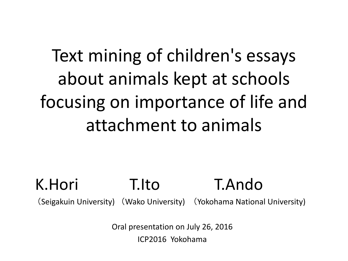# Text mining of children's essays about animals kept at schools focusing on importance of life and attachment to animals

## K.Hori T.Ito T.Ando

(Seigakuin University) (Wako University) (Yokohama National University)

Oral presentation on July 26, 2016 ICP2016 Yokohama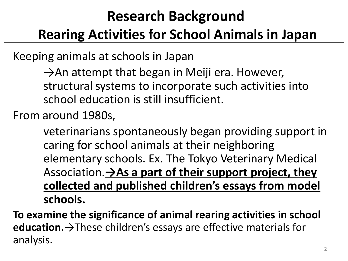## **Research Background**

### **Rearing Activities for School Animals in Japan**

Keeping animals at schools in Japan

 $\rightarrow$ An attempt that began in Meiji era. However, structural systems to incorporate such activities into school education is still insufficient.

From around 1980s,

veterinarians spontaneously began providing support in caring for school animals at their neighboring elementary schools. Ex. The Tokyo Veterinary Medical Association.**→As a part of their support project, they collected and published children's essays from model schools.**

**To examine the significance of animal rearing activities in school education.**→These children's essays are effective materials for analysis.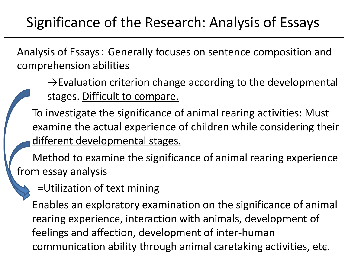Analysis of Essays: Generally focuses on sentence composition and comprehension abilities

 $\rightarrow$ Evaluation criterion change according to the developmental stages. Difficult to compare.

To investigate the significance of animal rearing activities: Must examine the actual experience of children while considering their different developmental stages.

 Method to examine the significance of animal rearing experience from essay analysis

=Utilization of text mining

Enables an exploratory examination on the significance of animal rearing experience, interaction with animals, development of feelings and affection, development of inter-human communication ability through animal caretaking activities, etc.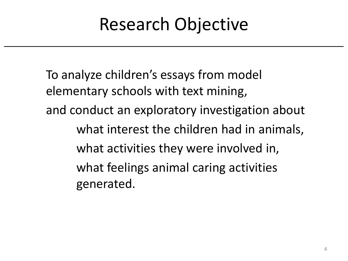# Research Objective

To analyze children's essays from model elementary schools with text mining, and conduct an exploratory investigation about what interest the children had in animals, what activities they were involved in, what feelings animal caring activities generated.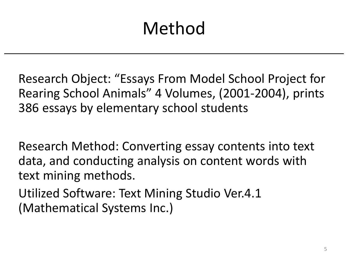# Method

Research Object: "Essays From Model School Project for Rearing School Animals" 4 Volumes, (2001-2004), prints 386 essays by elementary school students

Research Method: Converting essay contents into text data, and conducting analysis on content words with text mining methods.

Utilized Software: Text Mining Studio Ver.4.1 (Mathematical Systems Inc.)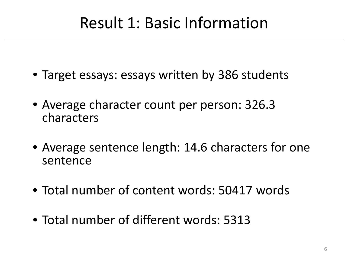## Result 1: Basic Information

- Target essays: essays written by 386 students
- Average character count per person: 326.3 characters
- Average sentence length: 14.6 characters for one sentence
- Total number of content words: 50417 words
- Total number of different words: 5313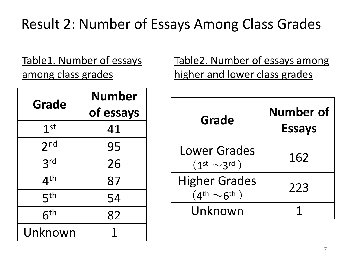Table1. Number of essays among class grades

Table2. Number of essays among higher and lower class grades

| Grade           | Number    |
|-----------------|-----------|
|                 | of essays |
| 1 <sup>st</sup> | 41        |
| 2 <sub>nd</sub> | 95        |
| 3 <sup>rd</sup> | 26        |
| 4 <sup>th</sup> | 87        |
| 5 <sup>th</sup> | 54        |
| 6 <sup>th</sup> | 82        |
| Unknown         |           |

| <b>Grade</b>                                                 | <b>Number of</b><br><b>Essays</b> |
|--------------------------------------------------------------|-----------------------------------|
| <b>Lower Grades</b><br>$(1st \sim 3rd)$                      | 162                               |
| <b>Higher Grades</b><br>$(4^{\text{th}} \sim 6^{\text{th}})$ | 223                               |
| Unknown                                                      |                                   |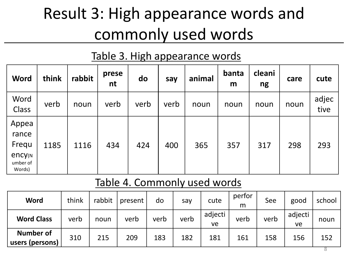# Result 3: High appearance words and commonly used words

### Table 3. High appearance words

| <b>Word</b>                                                      | think | rabbit | prese<br>nt | do   | say  | animal | banta<br>m | cleani<br>ng | care | cute          |
|------------------------------------------------------------------|-------|--------|-------------|------|------|--------|------------|--------------|------|---------------|
| Word<br>Class                                                    | verb  | noun   | verb        | verb | verb | noun   | noun       | noun         | noun | adjec<br>tive |
| Appea<br>rance<br>Frequ<br><b>ency</b> (N)<br>umber of<br>Words) | 1185  | 1116   | 434         | 424  | 400  | 365    | 357        | 317          | 298  | 293           |

### Table 4. Commonly used words

| Word                                | think | rabbit | present | do   | say  | cute          | perfor<br>m | See  | good          | school |
|-------------------------------------|-------|--------|---------|------|------|---------------|-------------|------|---------------|--------|
| <b>Word Class</b>                   | verb  | noun   | verb    | verb | verb | adjecti<br>ve | verb        | verb | adjecti<br>ve | noun   |
| <b>Number of</b><br>users (persons) | 310   | 215    | 209     | 183  | 182  | 181           | 161         | 158  | 156           | 152    |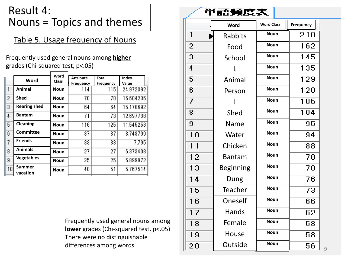### Result 4: Nouns = Topics and themes

#### Table 5. Usage frequency of Nouns

Frequently used general nouns among **higher** grades (Chi -squared test, p<.05)

|    | Word                      | Word<br><b>Class</b> | <b>Attribute</b> | <b>Total</b>     | Index     |
|----|---------------------------|----------------------|------------------|------------------|-----------|
|    |                           |                      | <b>Frequency</b> | <b>Frequency</b> | Value     |
| 1  | Animal                    | <b>Noun</b>          | 114              | 115              | 24.972392 |
| 2  | Shed                      | <b>Noun</b>          | 70               | 70               | 16.604236 |
| 3  | <b>Rearing shed</b>       | <b>Noun</b>          | 64               | 64               | 15.170692 |
| 4  | <b>Bantam</b>             | <b>Noun</b>          | 71               | 73               | 12.697738 |
| 5  | Cleaning                  | <b>Noun</b>          | 116              | 125              | 11.545253 |
| 6  | Committee                 | <b>Noun</b>          | 37               | 37               | 8.743799  |
| 7  | <b>Friends</b>            | <b>Noun</b>          | 33               | 33               | 7.795     |
| 8  | <b>Animals</b>            | <b>Noun</b>          | 27               | 27               | 6.373408  |
| 9  | <b>Vegetables</b>         | <b>Noun</b>          | 25               | 25               | 5.899972  |
| 10 | <b>Summer</b><br>vacation | <b>Noun</b>          | 48               | 51               | 5.767514  |
|    |                           |                      |                  |                  |           |

Frequently used general nouns among **lower** grades (Chi -squared test, p<.05) There were no distinguishable differences among words

#### 単語頻度表

|                | Word             | <b>Word Class</b> | <b>Frequency</b> |
|----------------|------------------|-------------------|------------------|
| 1              | <b>Rabbits</b>   | <b>Noun</b>       | 210              |
| 2              | Food             | <b>Noun</b>       | 162              |
| 3              | School           | <b>Noun</b>       | 145              |
| 4              |                  | <b>Noun</b>       | 135              |
| 5              | Animal           | <b>Noun</b>       | 129              |
| 6              | Person           | <b>Noun</b>       | 120              |
| 7              |                  | <b>Noun</b>       | 105              |
| 8              | Shed             | <b>Noun</b>       | 104              |
| 9              | Name             | <b>Noun</b>       | 95               |
| 10             | Water            | <b>Noun</b>       | 94               |
| 1 <sub>1</sub> | Chicken          | <b>Noun</b>       | 88               |
| 12             | <b>Bantam</b>    | <b>Noun</b>       | 78               |
| 13             | <b>Beginning</b> | <b>Noun</b>       | 78               |
| 14             | Dung             | <b>Noun</b>       | 76               |
| 15             | Teacher          | <b>Noun</b>       | 73               |
| 16             | Oneself          | <b>Noun</b>       | 66               |
| 17             | Hands            | <b>Noun</b>       | 62               |
| 18             | Female           | <b>Noun</b>       | 58               |
| 19             | House            | <b>Noun</b>       | 58               |
| 20             | Outside          | <b>Noun</b>       | 56               |

9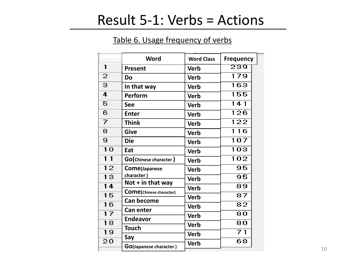### Result 5-1: Verbs = Actions

#### Table 6. Usage frequency of verbs

|           | <b>Word</b>                                          | <b>Word Class</b> | <b>Frequency</b>                  |
|-----------|------------------------------------------------------|-------------------|-----------------------------------|
| 1         | Present                                              | <b>Verb</b>       | 239                               |
| 2         | Do                                                   | <b>Verb</b>       | 179                               |
| з         | In that way                                          | <b>Verb</b>       | 163                               |
| 4         | Perform                                              | <b>Verb</b>       | 155                               |
| 5         | <b>See</b>                                           | <b>Verb</b>       | 141                               |
| 6         | <b>Enter</b>                                         | <b>Verb</b>       | 126                               |
| 7         | <b>Think</b>                                         | <b>Verb</b>       | 122                               |
| 8         | <b>Give</b>                                          | <b>Verb</b>       | $\overline{16}$<br>$\blacksquare$ |
| 9         | <b>Die</b>                                           | <b>Verb</b>       | 107                               |
| 10        | Eat                                                  | <b>Verb</b>       | 103                               |
| $1\quad1$ | GO(Chinese character)                                | <b>Verb</b>       | 102                               |
| 12        | Come(Japanese                                        | <b>Verb</b>       | 95                                |
| 13        | character)                                           | <b>Verb</b>       | 95                                |
| 14        | Not $+$ in that way                                  | <b>Verb</b>       | 89                                |
| 15        | <b>Come</b> (Chinese character)<br><b>Can become</b> | <b>Verb</b>       | 87                                |
| 16        | <b>Can enter</b>                                     | <b>Verb</b>       | 82                                |
| 17        | <b>Endeavor</b>                                      | <b>Verb</b>       | 80                                |
| 18        | <b>Touch</b>                                         | <b>Verb</b>       | 80                                |
| 19        | Say                                                  | <b>Verb</b>       | 71                                |
| 20        |                                                      | <b>Verb</b>       | 68                                |
|           | <b>GO(Japanese character)</b>                        |                   |                                   |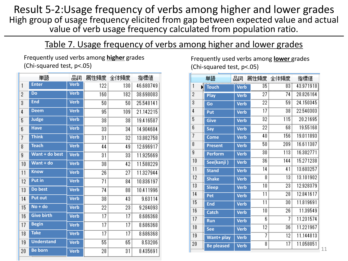Result 5-2:Usage frequency of verbs among higher and lower grades High group of usage frequency elicited from gap between expected value and actual value of verb usage frequency calculated from population ratio.

#### Table 7. Usage frequency of verbs among higher and lower grades

Frequently used verbs among **higher** grades (Chi-squared test, p<.05)

|    | 単語                | 品詞          | 属性頻度 | 全体頻度            | 指標値       |
|----|-------------------|-------------|------|-----------------|-----------|
| 1  | <b>Enter</b>      | <b>Verb</b> | 122  | 130             | 46.680749 |
| 2  | <b>Do</b>         | <b>Verb</b> | 160  | 182             | 38.698083 |
| 3  | <b>End</b>        | <b>Verb</b> | 50   | 50              | 25.548141 |
| 4  | <b>Deem</b>       | <b>Verb</b> | 95   | 109             | 21.142215 |
| 5  | <b>Judge</b>      | <b>Verb</b> | 38   | 38              | 19.416587 |
| 6  | <b>Have</b>       | <b>Verb</b> | 33   | 34              | 14.904684 |
| 7  | <b>Think</b>      | <b>Verb</b> | 31   | 32              | 13.882758 |
| 8  | <b>Teach</b>      | <b>Verb</b> | 44   | 49              | 12.696917 |
| 9  | Want + do best    | <b>Verb</b> | 31   | 33              | 11.925669 |
| 10 | Want + do         | <b>Verb</b> | 38   | 42              | 11.588229 |
| 11 | <b>Know</b>       | <b>Verb</b> | 26   | 27              | 11.327944 |
| 12 | <b>Put in</b>     | <b>Verb</b> | 71   | 84              | 10.836197 |
| 13 | Do best           | <b>Verb</b> | 74   | 88              | 10.411996 |
| 14 | <b>Put out</b>    | <b>Verb</b> | 38   | 43              | 9.63114   |
| 15 | $No + do$         | <b>Verb</b> | 22   | 23              | 9.284093  |
| 16 | <b>Give birth</b> | <b>Verb</b> | 17   | $\overline{17}$ | 8.686368  |
| 17 | <b>Begin</b>      | <b>Verb</b> | 17   | 17              | 8.686368  |
| 18 | <b>Take</b>       | <b>Verb</b> | 17   | 17              | 8.686368  |
| 19 | <b>Understand</b> | <b>Verb</b> | 55   | 65              | 8.53206   |
| 20 | <b>Be born</b>    | <b>Verb</b> | 28   | 31              | 8.435691  |
|    |                   |             |      |                 |           |

Frequently used verbs among **lower** grades (Chi-squared test, p<.05)

|        | 単語                | 品詞          |    | 属性頻度 全体頻度 | 指標値       |
|--------|-------------------|-------------|----|-----------|-----------|
| 1<br>N | <b>Touch</b>      | <b>Verb</b> | 35 | 83        | 43.971918 |
| 2      | Play              | <b>Verb</b> | 27 | 74        | 28.826164 |
| 3      | Go                | <b>Verb</b> | 22 | 59        | 24.150345 |
| 4      | Put               | <b>Verb</b> | 17 | 38        | 22.540303 |
| 5      | <b>Give</b>       | <b>Verb</b> | 32 | 115       | 20.21695  |
| 6      | <b>Say</b>        | <b>Verb</b> | 22 | 68        | 19.55168  |
| 7      | <b>Come</b>       | <b>Verb</b> | 40 | 156       | 19.011893 |
| 8      | <b>Present</b>    | <b>Verb</b> | 50 | 209       | 16.611387 |
| 9      | <b>Perform</b>    | <b>Verb</b> | 30 | 113       | 16.302771 |
| 10     | See(kanji)        | <b>Verb</b> | 36 | 144       | 15.271238 |
| 11     | <b>Stand</b>      | <b>Verb</b> | 14 | 41        | 13.603257 |
| 12     | <b>Shake</b>      | <b>Verb</b> | 8  | 13        | 13.101902 |
| 13     | <b>Sleep</b>      | <b>Verb</b> | 10 | 23        | 12.928379 |
| 14     | Pet               | <b>Verb</b> | 11 | 28        | 12.841617 |
| 15     | <b>End</b>        | <b>Verb</b> | 11 | 30        | 11.819691 |
| 16     | <b>Catch</b>      | <b>Verb</b> | 10 | 26        | 11.39549  |
| 17     | Run               | <b>Verb</b> | 6  | 7         | 11.231574 |
| 18     | <b>See</b>        | <b>Verb</b> | 12 | 36        | 11.221967 |
| 19     | <b>Want+ play</b> | <b>Verb</b> | 7  | 12        | 11.144813 |
| 20     | <b>Be pleased</b> | <b>Verb</b> | 8  | 17        | 11.058051 |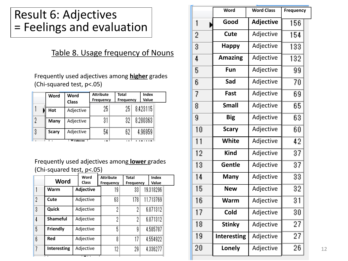### Result 6: Adjectives = Feelings and evaluation

#### Table 8. Usage frequency of Nouns

Frequently used adjectives among **higher** grades (Chi-squared test, p<.05)

|   | Word         | Word<br><b>Class</b> | <b>Attribute</b><br><b>Frequency</b> | <b>Total</b><br><b>Frequency</b> | <b>Index</b><br>Value |
|---|--------------|----------------------|--------------------------------------|----------------------------------|-----------------------|
|   | Hot          | Adjective            | 25                                   | 25.                              | 8,423115              |
|   | Many         | Adjective            | 3.                                   | 29                               | 8.280363              |
| 3 | <b>Scary</b> | Adjective            | 54                                   | 62                               | 4.96959               |
|   |              |                      |                                      |                                  |                       |

#### Frequently used adjectives among **lower** grades (Chi-squared test, p<.05)

|   | <b>Word</b>     | Word<br><b>Class</b> | <b>Attribute</b><br><b>Frequency</b> | <b>Total</b><br><b>Frequency</b> | Index<br>Value |  |
|---|-----------------|----------------------|--------------------------------------|----------------------------------|----------------|--|
|   | Warm            | <b>Adjective</b>     | 19                                   | 33                               | 19.318296      |  |
| 2 | Cute            | Adjective            | 63                                   | 178                              | 11.713769      |  |
| 3 | Quick           | Adjective            | 2                                    | η                                | 6.071312       |  |
|   | <b>Shameful</b> | Adjective            | 2                                    | η                                | 6.071312       |  |
| 5 | Friendly        | Adjective            | 5                                    | g                                | 4.585787       |  |
| 6 | <b>Red</b>      | Adjective            | 8                                    | 17                               | 4.554922       |  |
| 7 | Interesting     | Adjective            | 12                                   | 29                               | 4.336277       |  |

|        | <b>Word</b>        | <b>Word Class</b> | <b>Frequency</b> |
|--------|--------------------|-------------------|------------------|
| 1      | Good               | <b>Adjective</b>  | 156              |
| 2      | Cute               | Adjective         | 154              |
| 3      | <b>Happy</b>       | Adjective         | 133              |
| 4      | <b>Amazing</b>     | Adjective         | 132              |
| 5      | Fun                | Adjective         | 99               |
| 6      | Sad                | Adjective         | 70               |
| 7      | <b>Fast</b>        | Adjective         | 69               |
| 8      | <b>Small</b>       | Adjective         | 65               |
| 9      | <b>Big</b>         | Adjective         | 63               |
| 10     | <b>Scary</b>       | Adjective         | 60               |
| 11     | <b>White</b>       | Adjective         | 42               |
| 12     | <b>Kind</b>        | Adjective         | 37               |
| 13     | Gentle             | Adjective         | 37               |
| 14     | <b>Many</b>        | Adjective         | 33               |
| 15     | <b>New</b>         | Adjective         | 32               |
| 16     | Warm               | Adjective         | 31               |
| 17     | Cold               | Adjective         | 30               |
| 18     | Stinky             | Adjective         | 27               |
| 19     | <b>Interesting</b> | Adjective         | 27               |
| $20\,$ | Lonely             | Adjective         | 26               |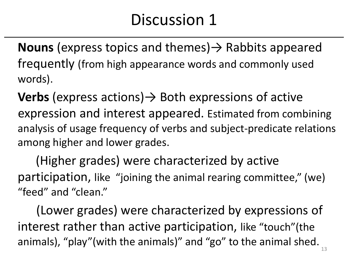## Discussion 1

**Nouns** (express topics and themes) $\rightarrow$  Rabbits appeared frequently (from high appearance words and commonly used words).

**Verbs** (express actions) → Both expressions of active expression and interest appeared. Estimated from combining analysis of usage frequency of verbs and subject-predicate relations among higher and lower grades.

 (Higher grades) were characterized by active participation, like "joining the animal rearing committee," (we) "feed" and "clean."

 (Lower grades) were characterized by expressions of interest rather than active participation, like "touch"(the animals), "play"(with the animals)" and "go" to the animal shed.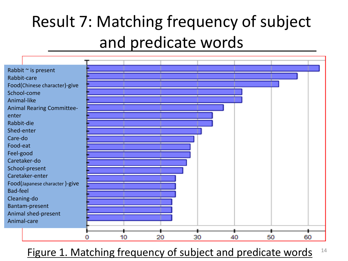# Result 7: Matching frequency of subject and predicate words



Figure 1. Matching frequency of subject and predicate words <sup>14</sup>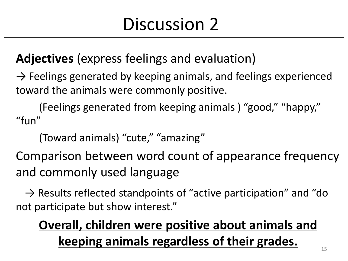# Discussion 2

**Adjectives** (express feelings and evaluation)

 $\rightarrow$  Feelings generated by keeping animals, and feelings experienced toward the animals were commonly positive.

 (Feelings generated from keeping animals ) "good," "happy," "fun"

(Toward animals) "cute," "amazing"

Comparison between word count of appearance frequency and commonly used language

 $\rightarrow$  Results reflected standpoints of "active participation" and "do not participate but show interest."

## **Overall, children were positive about animals and keeping animals regardless of their grades.**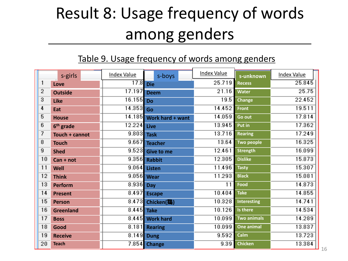# Result 8: Usage frequency of words among genders

#### Table 9. Usage frequency of words among genders

|                | s-girls               | <b>Index Value</b> | s-boys                  | <b>Index Value</b> | s-unknown          | <b>Index Value</b> |
|----------------|-----------------------|--------------------|-------------------------|--------------------|--------------------|--------------------|
| 1              | Love                  | 17.8               | <b>Die</b>              | 25.719             | <b>Recess</b>      | 25.845             |
| $\overline{2}$ | <b>Outside</b>        | 17.197             | <b>Deem</b>             | 21.16              | <b>Water</b>       | 25.75              |
| 3              | Like                  | 16.155             | <b>Do</b>               | 19.5               | <b>Change</b>      | 22.452             |
| 4              | Eat                   | 14.353 Go          |                         | 14.452             | Front              | 19.511             |
| 5              | <b>House</b>          |                    | 14.185 Work hard + want | 14.059             | Go out             | 17.814             |
| 6              | 6 <sup>th</sup> grade | 12.224 Live        |                         | 13.945             | Put in             | 17.362             |
| 7              | Touch + cannot        | 9.803 Task         |                         | 13.716             | <b>Rearing</b>     | 17.249             |
| 8              | <b>Touch</b>          |                    | 9.667 Teacher           | 13.64              | Two people         | 16.325             |
| 9              | <b>Shed</b>           |                    | 9.523 Give to me        | 12.461             | <b>Strength</b>    | 16.099             |
| 10             | $Can + not$           |                    | 9.356 Rabbit            | 12.305             | <b>Dislike</b>     | 15.873             |
| 11             | Well                  |                    | 9.064 Listen            | 11.496             | <b>Tasty</b>       | 15.307             |
| 12             | <b>Think</b>          |                    | 9.056 Wear              | 11.293             | <b>Black</b>       | 15.081             |
| 13             | Perform               | 8.936 Day          |                         | 11                 | Food               | 14.873             |
| 14             | <b>Present</b>        |                    | 8.497 Escape            | 10.404             | <b>Take</b>        | 14.855             |
| 15             | <b>Person</b>         |                    | 8.473 Chicken(鶏)        | 10.328             | Interesting        | 14.741             |
| 16             | <b>Greenland</b>      | 8.445              | <b>Take</b>             | 10.126             | Is there           | 14.534             |
| 17             | <b>Boss</b>           |                    | 8.445 Work hard         | 10.099             | <b>Two animals</b> | 14.289             |
| 18             | Good                  |                    | 8.181 Rearing           | 10.099             | <b>One animal</b>  | 13.837             |
| 19             | <b>Receive</b>        |                    | 8.149 Dung              | 9.592              | Calm               | 13.723             |
| 20             | <b>Teach</b>          |                    | 7.854 Change            | 9.39               | <b>Chicken</b>     | 13.384             |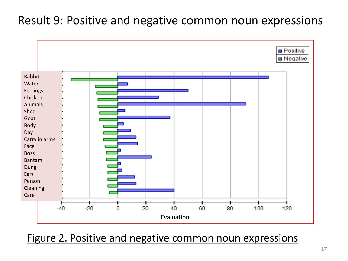### Result 9: Positive and negative common noun expressions



Figure 2. Positive and negative common noun expressions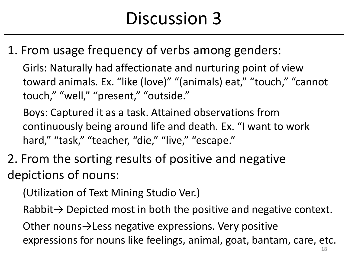# Discussion 3

1. From usage frequency of verbs among genders:

Girls: Naturally had affectionate and nurturing point of view toward animals. Ex. "like (love)" "(animals) eat," "touch," "cannot touch," "well," "present," "outside."

Boys: Captured it as a task. Attained observations from continuously being around life and death. Ex. "I want to work hard," "task," "teacher, "die," "live," "escape."

2. From the sorting results of positive and negative depictions of nouns:

(Utilization of Text Mining Studio Ver.)

Rabbit $\rightarrow$  Depicted most in both the positive and negative context.

Other nouns→Less negative expressions. Very positive expressions for nouns like feelings, animal, goat, bantam, care, etc.